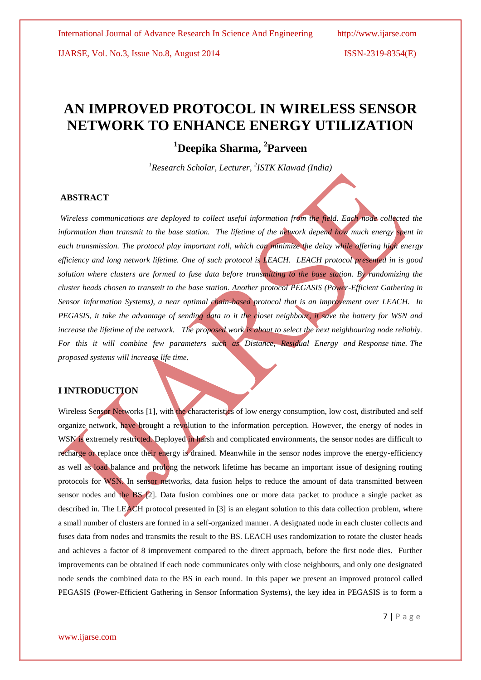IJARSE, Vol. No.3, Issue No.8, August 2014 ISSN-2319-8354(E)

# **AN IMPROVED PROTOCOL IN WIRELESS SENSOR NETWORK TO ENHANCE ENERGY UTILIZATION**

# **<sup>1</sup>Deepika Sharma, <sup>2</sup> Parveen**

*<sup>1</sup>Research Scholar, Lecturer, 2 ISTK Klawad (India)*

#### **ABSTRACT**

*Wireless communications are deployed to collect useful information from the field. Each node collected the information than transmit to the base station. The lifetime of the network depend how much energy spent in* each transmission. The protocol play important roll, which can minimize the delay while offering high energy *efficiency and long network lifetime. One of such protocol is LEACH. LEACH protocol presented in is good solution where clusters are formed to fuse data before transmitting to the base station. By randomizing the cluster heads chosen to transmit to the base station. Another protocol PEGASIS (Power-Efficient Gathering in Sensor Information Systems), a near optimal chain-based protocol that is an improvement over LEACH. In PEGASIS, it take the advantage of sending data to it the closet neighbour, it save the battery for WSN and*  increase the lifetime of the network. The proposed work is about to select the next neighbouring node reliably. *For this it will combine few parameters such as Distance, Residual Energy and Response time. The proposed systems will increase life time.*

#### **I INTRODUCTION**

Wireless Sensor Networks [1], with the characteristics of low energy consumption, low cost, distributed and self organize network, have brought a revolution to the information perception. However, the energy of nodes in WSN is extremely restricted. Deployed in harsh and complicated environments, the sensor nodes are difficult to recharge or replace once their energy is drained. Meanwhile in the sensor nodes improve the energy-efficiency as well as load balance and prolong the network lifetime has became an important issue of designing routing protocols for WSN. In sensor networks, data fusion helps to reduce the amount of data transmitted between sensor nodes and the BS [2]. Data fusion combines one or more data packet to produce a single packet as described in. The LEACH protocol presented in [3] is an elegant solution to this data collection problem, where a small number of clusters are formed in a self-organized manner. A designated node in each cluster collects and fuses data from nodes and transmits the result to the BS. LEACH uses randomization to rotate the cluster heads and achieves a factor of 8 improvement compared to the direct approach, before the first node dies. Further improvements can be obtained if each node communicates only with close neighbours, and only one designated node sends the combined data to the BS in each round. In this paper we present an improved protocol called PEGASIS (Power-Efficient Gathering in Sensor Information Systems), the key idea in PEGASIS is to form a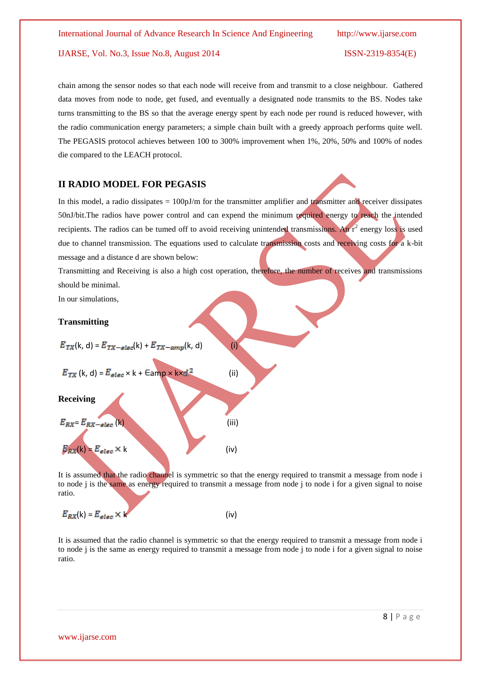#### IJARSE, Vol. No.3, Issue No.8, August 2014 ISSN-2319-8354(E)

chain among the sensor nodes so that each node will receive from and transmit to a close neighbour. Gathered data moves from node to node, get fused, and eventually a designated node transmits to the BS. Nodes take turns transmitting to the BS so that the average energy spent by each node per round is reduced however, with the radio communication energy parameters; a simple chain built with a greedy approach performs quite well. The PEGASIS protocol achieves between 100 to 300% improvement when 1%, 20%, 50% and 100% of nodes die compared to the LEACH protocol.

#### **II RADIO MODEL FOR PEGASIS**

In this model, a radio dissipates =  $100pJ/m$  for the transmitter amplifier and transmitter and receiver dissipates 50nJ/bit.The radios have power control and can expend the minimum required energy to reach the intended recipients. The radios can be tumed off to avoid receiving unintended transmissions. An  $r^2$  energy loss is used due to channel transmission. The equations used to calculate transmission costs and receiving costs for a k-bit message and a distance d are shown below:

Transmitting and Receiving is also a high cost operation, therefore, the number of receives and transmissions should be minimal.

In our simulations,

#### **Transmitting**



It is assumed that the radio channel is symmetric so that the energy required to transmit a message from node i to node j is the same as energy required to transmit a message from node j to node i for a given signal to noise ratio.

$$
E_{RX}(k) = E_{elec} \times k \tag{iv}
$$

It is assumed that the radio channel is symmetric so that the energy required to transmit a message from node i to node j is the same as energy required to transmit a message from node j to node i for a given signal to noise ratio.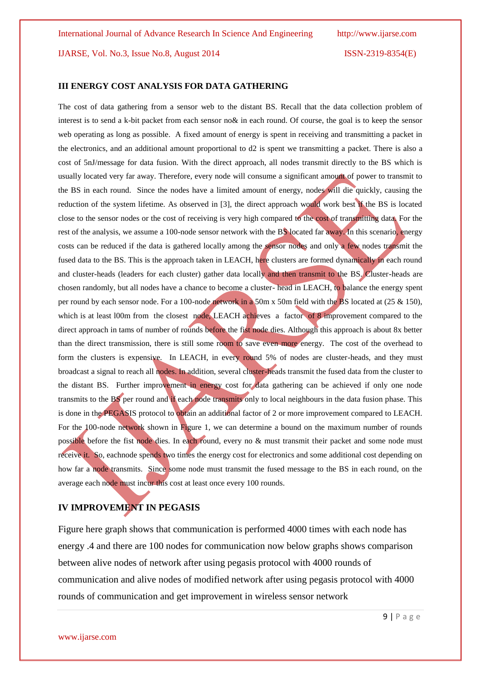IJARSE, Vol. No.3, Issue No.8, August 2014 ISSN-2319-8354(E)

#### **III ENERGY COST ANALYSIS FOR DATA GATHERING**

The cost of data gathering from a sensor web to the distant BS. Recall that the data collection problem of interest is to send a k-bit packet from each sensor no& in each round. Of course, the goal is to keep the sensor web operating as long as possible. A fixed amount of energy is spent in receiving and transmitting a packet in the electronics, and an additional amount proportional to d2 is spent we transmitting a packet. There is also a cost of 5nJ/message for data fusion. With the direct approach, all nodes transmit directly to the BS which is usually located very far away. Therefore, every node will consume a significant amount of power to transmit to the BS in each round. Since the nodes have a limited amount of energy, nodes will die quickly, causing the reduction of the system lifetime. As observed in [3], the direct approach would work best if the BS is located close to the sensor nodes or the cost of receiving is very high compared to the cost of transmitting data. For the rest of the analysis, we assume a 100-node sensor network with the BS located far away. In this scenario, energy costs can be reduced if the data is gathered locally among the sensor nodes and only a few nodes transmit the fused data to the BS. This is the approach taken in LEACH, here clusters are formed dynamically in each round and cluster-heads (leaders for each cluster) gather data locally and then transmit to the BS. Cluster-heads are chosen randomly, but all nodes have a chance to become a cluster- head in LEACH, to balance the energy spent per round by each sensor node. For a 100-node network in a 50m x 50m field with the BS located at (25 & 150), which is at least l00m from the closest node, LEACH achieves a factor of 8 improvement compared to the direct approach in tams of number of rounds before the fist node dies. Although this approach is about 8x better than the direct transmission, there is still some room to save even more energy. The cost of the overhead to form the clusters is expensive. In LEACH, in every round 5% of nodes are cluster-heads, and they must broadcast a signal to reach all nodes. In addition, several cluster-heads transmit the fused data from the cluster to the distant BS. Further improvement in energy cost for data gathering can be achieved if only one node transmits to the BS per round and if each node transmits only to local neighbours in the data fusion phase. This is done in the PEGASIS protocol to obtain an additional factor of 2 or more improvement compared to LEACH. For the 100-node network shown in Figure 1, we can determine a bound on the maximum number of rounds possible before the fist node dies. In each round, every no & must transmit their packet and some node must receive it. So, eachnode spends two times the energy cost for electronics and some additional cost depending on how far a node transmits. Since some node must transmit the fused message to the BS in each round, on the average each node must incur this cost at least once every 100 rounds.

### **IV IMPROVEMENT IN PEGASIS**

Figure here graph shows that communication is performed 4000 times with each node has energy .4 and there are 100 nodes for communication now below graphs shows comparison between alive nodes of network after using pegasis protocol with 4000 rounds of communication and alive nodes of modified network after using pegasis protocol with 4000 rounds of communication and get improvement in wireless sensor network